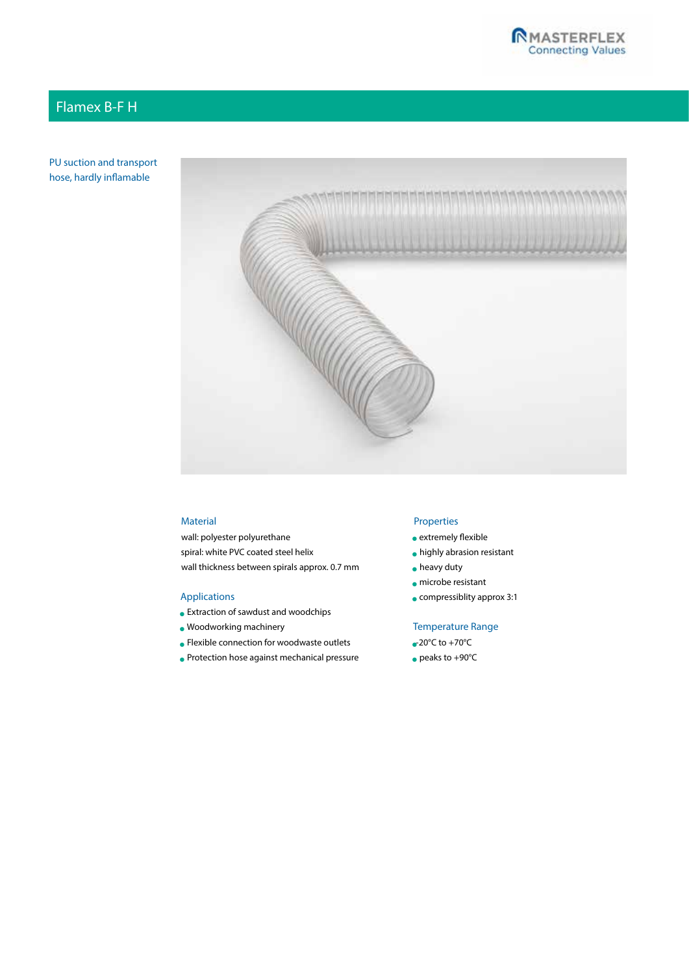# Flamex B-F H

PU suction and transport hose, hardly inflamable



### Material

wall: polyester polyurethane spiral: white PVC coated steel helix wall thickness between spirals approx. 0.7 mm

#### Applications

- Extraction of sawdust and woodchips
- Woodworking machinery
- Flexible connection for woodwaste outlets
- Protection hose against mechanical pressure

### Properties

- extremely flexible
- highly abrasion resistant
- heavy duty
- microbe resistant
- compressiblity approx 3:1

### Temperature Range

- $\bullet$  20°C to +70°C
- peaks to +90°C